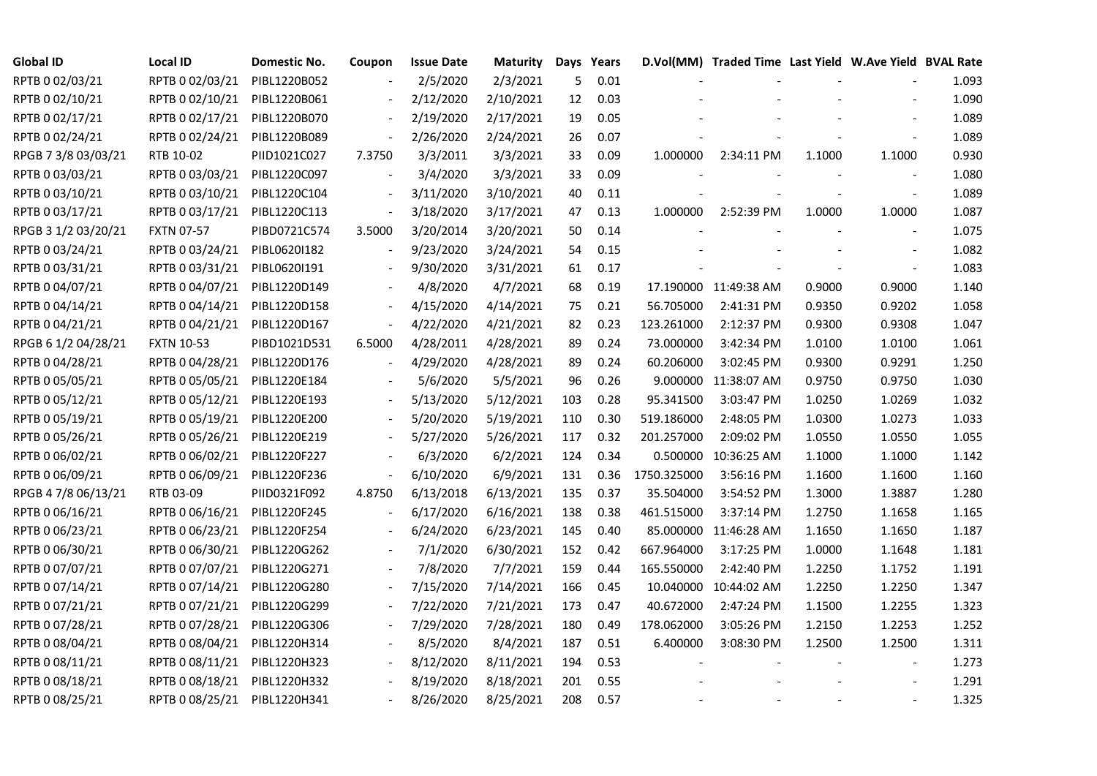| <b>Global ID</b>    | <b>Local ID</b>   | Domestic No. | Coupon                   | <b>Issue Date</b> | <b>Maturity</b> |     | Days Years |             | D.Vol(MM) Traded Time Last Yield W.Ave Yield BVAL Rate |        |                          |       |
|---------------------|-------------------|--------------|--------------------------|-------------------|-----------------|-----|------------|-------------|--------------------------------------------------------|--------|--------------------------|-------|
| RPTB 0 02/03/21     | RPTB 0 02/03/21   | PIBL1220B052 |                          | 2/5/2020          | 2/3/2021        | 5   | 0.01       |             |                                                        |        |                          | 1.093 |
| RPTB 0 02/10/21     | RPTB 0 02/10/21   | PIBL1220B061 |                          | 2/12/2020         | 2/10/2021       | 12  | 0.03       |             |                                                        |        |                          | 1.090 |
| RPTB 0 02/17/21     | RPTB 0 02/17/21   | PIBL1220B070 | $\overline{\phantom{a}}$ | 2/19/2020         | 2/17/2021       | 19  | 0.05       |             |                                                        |        |                          | 1.089 |
| RPTB 0 02/24/21     | RPTB 0 02/24/21   | PIBL1220B089 | $\blacksquare$           | 2/26/2020         | 2/24/2021       | 26  | 0.07       |             |                                                        |        |                          | 1.089 |
| RPGB 7 3/8 03/03/21 | RTB 10-02         | PIID1021C027 | 7.3750                   | 3/3/2011          | 3/3/2021        | 33  | 0.09       | 1.000000    | 2:34:11 PM                                             | 1.1000 | 1.1000                   | 0.930 |
| RPTB 0 03/03/21     | RPTB 0 03/03/21   | PIBL1220C097 |                          | 3/4/2020          | 3/3/2021        | 33  | 0.09       |             |                                                        |        |                          | 1.080 |
| RPTB 0 03/10/21     | RPTB 0 03/10/21   | PIBL1220C104 | $\overline{\phantom{a}}$ | 3/11/2020         | 3/10/2021       | 40  | 0.11       |             |                                                        |        | $\overline{\phantom{a}}$ | 1.089 |
| RPTB 0 03/17/21     | RPTB 0 03/17/21   | PIBL1220C113 | $\overline{\phantom{a}}$ | 3/18/2020         | 3/17/2021       | 47  | 0.13       | 1.000000    | 2:52:39 PM                                             | 1.0000 | 1.0000                   | 1.087 |
| RPGB 3 1/2 03/20/21 | <b>FXTN 07-57</b> | PIBD0721C574 | 3.5000                   | 3/20/2014         | 3/20/2021       | 50  | 0.14       |             |                                                        |        |                          | 1.075 |
| RPTB 0 03/24/21     | RPTB 0 03/24/21   | PIBL0620I182 |                          | 9/23/2020         | 3/24/2021       | 54  | 0.15       |             |                                                        |        |                          | 1.082 |
| RPTB 0 03/31/21     | RPTB 0 03/31/21   | PIBL0620I191 |                          | 9/30/2020         | 3/31/2021       | 61  | 0.17       |             |                                                        |        |                          | 1.083 |
| RPTB 0 04/07/21     | RPTB 0 04/07/21   | PIBL1220D149 |                          | 4/8/2020          | 4/7/2021        | 68  | 0.19       |             | 17.190000 11:49:38 AM                                  | 0.9000 | 0.9000                   | 1.140 |
| RPTB 0 04/14/21     | RPTB 0 04/14/21   | PIBL1220D158 |                          | 4/15/2020         | 4/14/2021       | 75  | 0.21       | 56.705000   | 2:41:31 PM                                             | 0.9350 | 0.9202                   | 1.058 |
| RPTB 0 04/21/21     | RPTB 0 04/21/21   | PIBL1220D167 | $\overline{\phantom{a}}$ | 4/22/2020         | 4/21/2021       | 82  | 0.23       | 123.261000  | 2:12:37 PM                                             | 0.9300 | 0.9308                   | 1.047 |
| RPGB 6 1/2 04/28/21 | <b>FXTN 10-53</b> | PIBD1021D531 | 6.5000                   | 4/28/2011         | 4/28/2021       | 89  | 0.24       | 73.000000   | 3:42:34 PM                                             | 1.0100 | 1.0100                   | 1.061 |
| RPTB 0 04/28/21     | RPTB 0 04/28/21   | PIBL1220D176 |                          | 4/29/2020         | 4/28/2021       | 89  | 0.24       | 60.206000   | 3:02:45 PM                                             | 0.9300 | 0.9291                   | 1.250 |
| RPTB 0 05/05/21     | RPTB 0 05/05/21   | PIBL1220E184 |                          | 5/6/2020          | 5/5/2021        | 96  | 0.26       |             | 9.000000 11:38:07 AM                                   | 0.9750 | 0.9750                   | 1.030 |
| RPTB 0 05/12/21     | RPTB 0 05/12/21   | PIBL1220E193 | $\overline{\phantom{a}}$ | 5/13/2020         | 5/12/2021       | 103 | 0.28       | 95.341500   | 3:03:47 PM                                             | 1.0250 | 1.0269                   | 1.032 |
| RPTB 0 05/19/21     | RPTB 0 05/19/21   | PIBL1220E200 |                          | 5/20/2020         | 5/19/2021       | 110 | 0.30       | 519.186000  | 2:48:05 PM                                             | 1.0300 | 1.0273                   | 1.033 |
| RPTB 0 05/26/21     | RPTB 0 05/26/21   | PIBL1220E219 |                          | 5/27/2020         | 5/26/2021       | 117 | 0.32       | 201.257000  | 2:09:02 PM                                             | 1.0550 | 1.0550                   | 1.055 |
| RPTB 0 06/02/21     | RPTB 0 06/02/21   | PIBL1220F227 |                          | 6/3/2020          | 6/2/2021        | 124 | 0.34       |             | 0.500000 10:36:25 AM                                   | 1.1000 | 1.1000                   | 1.142 |
| RPTB 0 06/09/21     | RPTB 0 06/09/21   | PIBL1220F236 | $\frac{1}{2}$            | 6/10/2020         | 6/9/2021        | 131 | 0.36       | 1750.325000 | 3:56:16 PM                                             | 1.1600 | 1.1600                   | 1.160 |
| RPGB 4 7/8 06/13/21 | RTB 03-09         | PIID0321F092 | 4.8750                   | 6/13/2018         | 6/13/2021       | 135 | 0.37       | 35.504000   | 3:54:52 PM                                             | 1.3000 | 1.3887                   | 1.280 |
| RPTB 0 06/16/21     | RPTB 0 06/16/21   | PIBL1220F245 |                          | 6/17/2020         | 6/16/2021       | 138 | 0.38       | 461.515000  | 3:37:14 PM                                             | 1.2750 | 1.1658                   | 1.165 |
| RPTB 0 06/23/21     | RPTB 0 06/23/21   | PIBL1220F254 | $\overline{a}$           | 6/24/2020         | 6/23/2021       | 145 | 0.40       |             | 85.000000 11:46:28 AM                                  | 1.1650 | 1.1650                   | 1.187 |
| RPTB 0 06/30/21     | RPTB 0 06/30/21   | PIBL1220G262 |                          | 7/1/2020          | 6/30/2021       | 152 | 0.42       | 667.964000  | 3:17:25 PM                                             | 1.0000 | 1.1648                   | 1.181 |
| RPTB 0 07/07/21     | RPTB 0 07/07/21   | PIBL1220G271 |                          | 7/8/2020          | 7/7/2021        | 159 | 0.44       | 165.550000  | 2:42:40 PM                                             | 1.2250 | 1.1752                   | 1.191 |
| RPTB 0 07/14/21     | RPTB 0 07/14/21   | PIBL1220G280 |                          | 7/15/2020         | 7/14/2021       | 166 | 0.45       |             | 10.040000 10:44:02 AM                                  | 1.2250 | 1.2250                   | 1.347 |
| RPTB 0 07/21/21     | RPTB 0 07/21/21   | PIBL1220G299 |                          | 7/22/2020         | 7/21/2021       | 173 | 0.47       | 40.672000   | 2:47:24 PM                                             | 1.1500 | 1.2255                   | 1.323 |
| RPTB 0 07/28/21     | RPTB 0 07/28/21   | PIBL1220G306 |                          | 7/29/2020         | 7/28/2021       | 180 | 0.49       | 178.062000  | 3:05:26 PM                                             | 1.2150 | 1.2253                   | 1.252 |
| RPTB 0 08/04/21     | RPTB 0 08/04/21   | PIBL1220H314 |                          | 8/5/2020          | 8/4/2021        | 187 | 0.51       | 6.400000    | 3:08:30 PM                                             | 1.2500 | 1.2500                   | 1.311 |
| RPTB 0 08/11/21     | RPTB 0 08/11/21   | PIBL1220H323 | $\blacksquare$           | 8/12/2020         | 8/11/2021       | 194 | 0.53       |             |                                                        |        |                          | 1.273 |
| RPTB 0 08/18/21     | RPTB 0 08/18/21   | PIBL1220H332 |                          | 8/19/2020         | 8/18/2021       | 201 | 0.55       |             |                                                        |        |                          | 1.291 |
| RPTB 0 08/25/21     | RPTB 0 08/25/21   | PIBL1220H341 |                          | 8/26/2020         | 8/25/2021       | 208 | 0.57       |             |                                                        |        |                          | 1.325 |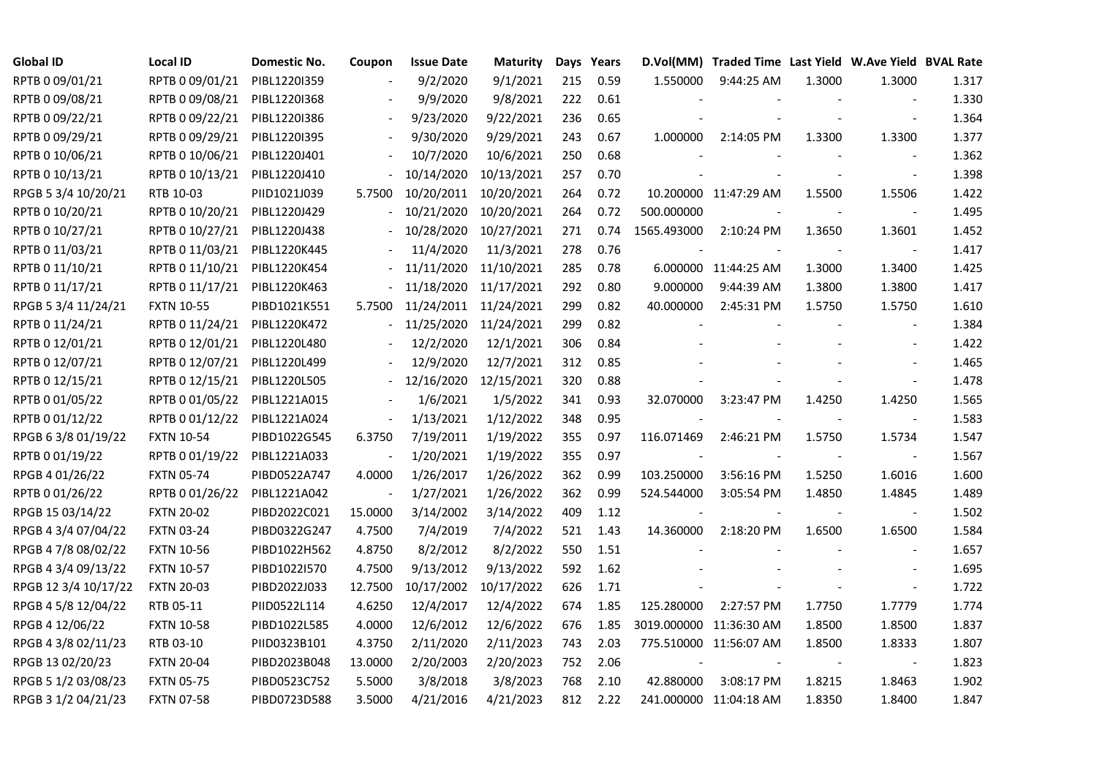| <b>Global ID</b>     | Local ID          | Domestic No. | Coupon                   | <b>Issue Date</b>     | <b>Maturity</b> |     | Days Years |                         | D.Vol(MM) Traded Time Last Yield W.Ave Yield BVAL Rate |        |                |       |
|----------------------|-------------------|--------------|--------------------------|-----------------------|-----------------|-----|------------|-------------------------|--------------------------------------------------------|--------|----------------|-------|
| RPTB 0 09/01/21      | RPTB 0 09/01/21   | PIBL12201359 |                          | 9/2/2020              | 9/1/2021        | 215 | 0.59       | 1.550000                | 9:44:25 AM                                             | 1.3000 | 1.3000         | 1.317 |
| RPTB 0 09/08/21      | RPTB 0 09/08/21   | PIBL1220I368 |                          | 9/9/2020              | 9/8/2021        | 222 | 0.61       |                         |                                                        |        |                | 1.330 |
| RPTB 0 09/22/21      | RPTB 0 09/22/21   | PIBL1220I386 |                          | 9/23/2020             | 9/22/2021       | 236 | 0.65       |                         |                                                        |        |                | 1.364 |
| RPTB 0 09/29/21      | RPTB 0 09/29/21   | PIBL1220I395 | $\overline{\phantom{a}}$ | 9/30/2020             | 9/29/2021       | 243 | 0.67       | 1.000000                | 2:14:05 PM                                             | 1.3300 | 1.3300         | 1.377 |
| RPTB 0 10/06/21      | RPTB 0 10/06/21   | PIBL1220J401 |                          | 10/7/2020             | 10/6/2021       | 250 | 0.68       |                         |                                                        |        |                | 1.362 |
| RPTB 0 10/13/21      | RPTB 0 10/13/21   | PIBL1220J410 |                          | 10/14/2020            | 10/13/2021      | 257 | 0.70       |                         |                                                        |        | $\blacksquare$ | 1.398 |
| RPGB 5 3/4 10/20/21  | RTB 10-03         | PIID1021J039 | 5.7500                   | 10/20/2011            | 10/20/2021      | 264 | 0.72       |                         | 10.200000 11:47:29 AM                                  | 1.5500 | 1.5506         | 1.422 |
| RPTB 0 10/20/21      | RPTB 0 10/20/21   | PIBL1220J429 |                          | 10/21/2020            | 10/20/2021      | 264 | 0.72       | 500.000000              |                                                        |        | $\sim$         | 1.495 |
| RPTB 0 10/27/21      | RPTB 0 10/27/21   | PIBL1220J438 |                          | 10/28/2020            | 10/27/2021      | 271 | 0.74       | 1565.493000             | 2:10:24 PM                                             | 1.3650 | 1.3601         | 1.452 |
| RPTB 0 11/03/21      | RPTB 0 11/03/21   | PIBL1220K445 |                          | 11/4/2020             | 11/3/2021       | 278 | 0.76       |                         |                                                        |        |                | 1.417 |
| RPTB 0 11/10/21      | RPTB 0 11/10/21   | PIBL1220K454 |                          | 11/11/2020            | 11/10/2021      | 285 | 0.78       |                         | 6.000000 11:44:25 AM                                   | 1.3000 | 1.3400         | 1.425 |
| RPTB 0 11/17/21      | RPTB 0 11/17/21   | PIBL1220K463 |                          | 11/18/2020            | 11/17/2021      | 292 | 0.80       | 9.000000                | 9:44:39 AM                                             | 1.3800 | 1.3800         | 1.417 |
| RPGB 5 3/4 11/24/21  | <b>FXTN 10-55</b> | PIBD1021K551 | 5.7500                   | 11/24/2011            | 11/24/2021      | 299 | 0.82       | 40.000000               | 2:45:31 PM                                             | 1.5750 | 1.5750         | 1.610 |
| RPTB 0 11/24/21      | RPTB 0 11/24/21   | PIBL1220K472 | $\overline{\phantom{0}}$ | 11/25/2020 11/24/2021 |                 | 299 | 0.82       |                         |                                                        |        | $\sim$         | 1.384 |
| RPTB 0 12/01/21      | RPTB 0 12/01/21   | PIBL1220L480 |                          | 12/2/2020             | 12/1/2021       | 306 | 0.84       |                         |                                                        |        |                | 1.422 |
| RPTB 0 12/07/21      | RPTB 0 12/07/21   | PIBL1220L499 |                          | 12/9/2020             | 12/7/2021       | 312 | 0.85       |                         |                                                        |        |                | 1.465 |
| RPTB 0 12/15/21      | RPTB 0 12/15/21   | PIBL1220L505 |                          | 12/16/2020            | 12/15/2021      | 320 | 0.88       |                         |                                                        |        |                | 1.478 |
| RPTB 0 01/05/22      | RPTB 0 01/05/22   | PIBL1221A015 | $\overline{\phantom{a}}$ | 1/6/2021              | 1/5/2022        | 341 | 0.93       | 32.070000               | 3:23:47 PM                                             | 1.4250 | 1.4250         | 1.565 |
| RPTB 0 01/12/22      | RPTB 0 01/12/22   | PIBL1221A024 | $\blacksquare$           | 1/13/2021             | 1/12/2022       | 348 | 0.95       |                         |                                                        |        |                | 1.583 |
| RPGB 63/8 01/19/22   | <b>FXTN 10-54</b> | PIBD1022G545 | 6.3750                   | 7/19/2011             | 1/19/2022       | 355 | 0.97       | 116.071469              | 2:46:21 PM                                             | 1.5750 | 1.5734         | 1.547 |
| RPTB 0 01/19/22      | RPTB 0 01/19/22   | PIBL1221A033 | $\blacksquare$           | 1/20/2021             | 1/19/2022       | 355 | 0.97       |                         |                                                        |        | $\sim$         | 1.567 |
| RPGB 4 01/26/22      | <b>FXTN 05-74</b> | PIBD0522A747 | 4.0000                   | 1/26/2017             | 1/26/2022       | 362 | 0.99       | 103.250000              | 3:56:16 PM                                             | 1.5250 | 1.6016         | 1.600 |
| RPTB 0 01/26/22      | RPTB 0 01/26/22   | PIBL1221A042 |                          | 1/27/2021             | 1/26/2022       | 362 | 0.99       | 524.544000              | 3:05:54 PM                                             | 1.4850 | 1.4845         | 1.489 |
| RPGB 15 03/14/22     | <b>FXTN 20-02</b> | PIBD2022C021 | 15.0000                  | 3/14/2002             | 3/14/2022       | 409 | 1.12       |                         |                                                        |        | $\blacksquare$ | 1.502 |
| RPGB 4 3/4 07/04/22  | <b>FXTN 03-24</b> | PIBD0322G247 | 4.7500                   | 7/4/2019              | 7/4/2022        | 521 | 1.43       | 14.360000               | 2:18:20 PM                                             | 1.6500 | 1.6500         | 1.584 |
| RPGB 4 7/8 08/02/22  | <b>FXTN 10-56</b> | PIBD1022H562 | 4.8750                   | 8/2/2012              | 8/2/2022        | 550 | 1.51       |                         |                                                        |        |                | 1.657 |
| RPGB 4 3/4 09/13/22  | <b>FXTN 10-57</b> | PIBD1022I570 | 4.7500                   | 9/13/2012             | 9/13/2022       | 592 | 1.62       |                         |                                                        |        |                | 1.695 |
| RPGB 12 3/4 10/17/22 | <b>FXTN 20-03</b> | PIBD2022J033 | 12.7500                  | 10/17/2002            | 10/17/2022      | 626 | 1.71       |                         |                                                        |        | $\blacksquare$ | 1.722 |
| RPGB 4 5/8 12/04/22  | RTB 05-11         | PIID0522L114 | 4.6250                   | 12/4/2017             | 12/4/2022       | 674 | 1.85       | 125.280000              | 2:27:57 PM                                             | 1.7750 | 1.7779         | 1.774 |
| RPGB 4 12/06/22      | <b>FXTN 10-58</b> | PIBD1022L585 | 4.0000                   | 12/6/2012             | 12/6/2022       | 676 | 1.85       | 3019.000000 11:36:30 AM |                                                        | 1.8500 | 1.8500         | 1.837 |
| RPGB 4 3/8 02/11/23  | RTB 03-10         | PIID0323B101 | 4.3750                   | 2/11/2020             | 2/11/2023       | 743 | 2.03       |                         | 775.510000 11:56:07 AM                                 | 1.8500 | 1.8333         | 1.807 |
| RPGB 13 02/20/23     | <b>FXTN 20-04</b> | PIBD2023B048 | 13.0000                  | 2/20/2003             | 2/20/2023       | 752 | 2.06       |                         |                                                        |        |                | 1.823 |
| RPGB 5 1/2 03/08/23  | <b>FXTN 05-75</b> | PIBD0523C752 | 5.5000                   | 3/8/2018              | 3/8/2023        | 768 | 2.10       | 42.880000               | 3:08:17 PM                                             | 1.8215 | 1.8463         | 1.902 |
| RPGB 3 1/2 04/21/23  | <b>FXTN 07-58</b> | PIBD0723D588 | 3.5000                   | 4/21/2016             | 4/21/2023       | 812 | 2.22       |                         | 241.000000 11:04:18 AM                                 | 1.8350 | 1.8400         | 1.847 |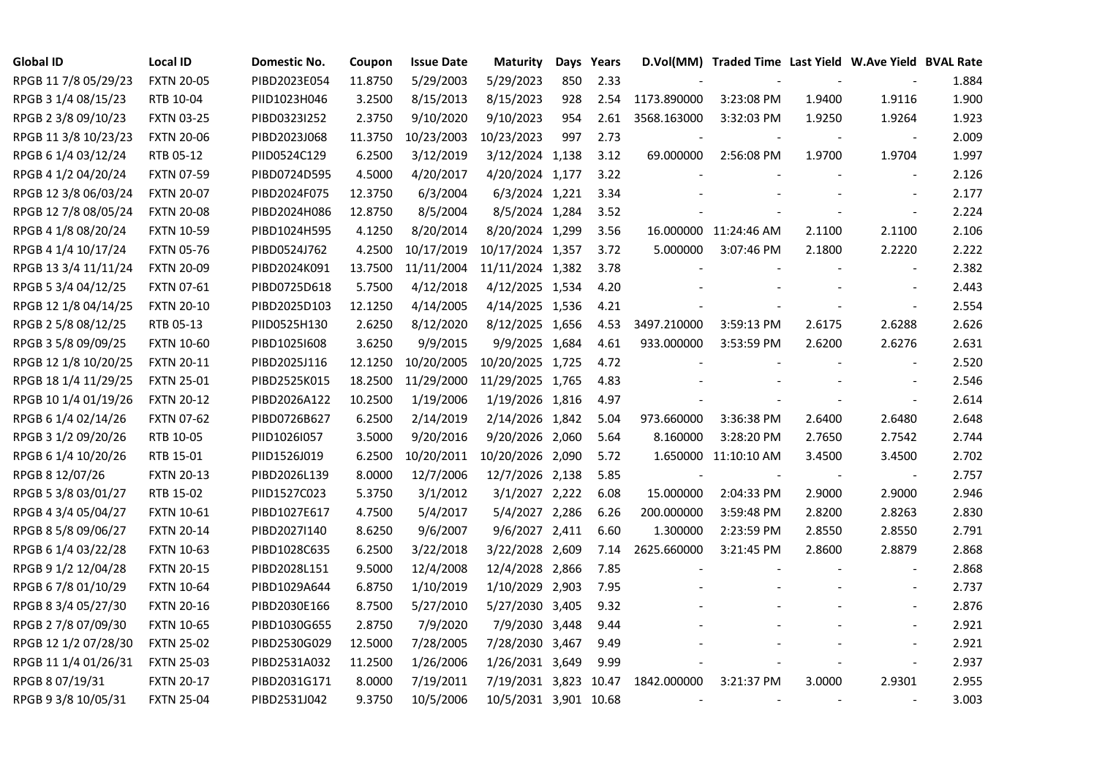| <b>Global ID</b>     | <b>Local ID</b>   | Domestic No. | Coupon  | <b>Issue Date</b> | <b>Maturity</b>       | Days | Years |                          | D.Vol(MM) Traded Time Last Yield W.Ave Yield BVAL Rate |        |                          |       |
|----------------------|-------------------|--------------|---------|-------------------|-----------------------|------|-------|--------------------------|--------------------------------------------------------|--------|--------------------------|-------|
| RPGB 11 7/8 05/29/23 | <b>FXTN 20-05</b> | PIBD2023E054 | 11.8750 | 5/29/2003         | 5/29/2023             | 850  | 2.33  |                          |                                                        |        |                          | 1.884 |
| RPGB 3 1/4 08/15/23  | RTB 10-04         | PIID1023H046 | 3.2500  | 8/15/2013         | 8/15/2023             | 928  | 2.54  | 1173.890000              | 3:23:08 PM                                             | 1.9400 | 1.9116                   | 1.900 |
| RPGB 2 3/8 09/10/23  | <b>FXTN 03-25</b> | PIBD0323I252 | 2.3750  | 9/10/2020         | 9/10/2023             | 954  | 2.61  | 3568.163000              | 3:32:03 PM                                             | 1.9250 | 1.9264                   | 1.923 |
| RPGB 11 3/8 10/23/23 | <b>FXTN 20-06</b> | PIBD2023J068 | 11.3750 | 10/23/2003        | 10/23/2023            | 997  | 2.73  |                          |                                                        |        |                          | 2.009 |
| RPGB 6 1/4 03/12/24  | RTB 05-12         | PIID0524C129 | 6.2500  | 3/12/2019         | 3/12/2024 1,138       |      | 3.12  | 69.000000                | 2:56:08 PM                                             | 1.9700 | 1.9704                   | 1.997 |
| RPGB 4 1/2 04/20/24  | <b>FXTN 07-59</b> | PIBD0724D595 | 4.5000  | 4/20/2017         | 4/20/2024 1,177       |      | 3.22  |                          |                                                        |        | $\blacksquare$           | 2.126 |
| RPGB 12 3/8 06/03/24 | <b>FXTN 20-07</b> | PIBD2024F075 | 12.3750 | 6/3/2004          | 6/3/2024 1,221        |      | 3.34  |                          |                                                        |        |                          | 2.177 |
| RPGB 12 7/8 08/05/24 | <b>FXTN 20-08</b> | PIBD2024H086 | 12.8750 | 8/5/2004          | 8/5/2024 1,284        |      | 3.52  |                          |                                                        |        | $\bar{\phantom{a}}$      | 2.224 |
| RPGB 4 1/8 08/20/24  | <b>FXTN 10-59</b> | PIBD1024H595 | 4.1250  | 8/20/2014         | 8/20/2024 1,299       |      | 3.56  |                          | 16.000000 11:24:46 AM                                  | 2.1100 | 2.1100                   | 2.106 |
| RPGB 4 1/4 10/17/24  | <b>FXTN 05-76</b> | PIBD0524J762 | 4.2500  | 10/17/2019        | 10/17/2024 1,357      |      | 3.72  | 5.000000                 | 3:07:46 PM                                             | 2.1800 | 2.2220                   | 2.222 |
| RPGB 13 3/4 11/11/24 | <b>FXTN 20-09</b> | PIBD2024K091 | 13.7500 | 11/11/2004        | 11/11/2024 1,382      |      | 3.78  |                          |                                                        |        | $\blacksquare$           | 2.382 |
| RPGB 5 3/4 04/12/25  | <b>FXTN 07-61</b> | PIBD0725D618 | 5.7500  | 4/12/2018         | 4/12/2025 1,534       |      | 4.20  |                          |                                                        |        |                          | 2.443 |
| RPGB 12 1/8 04/14/25 | <b>FXTN 20-10</b> | PIBD2025D103 | 12.1250 | 4/14/2005         | 4/14/2025 1,536       |      | 4.21  |                          |                                                        |        | $\overline{\phantom{a}}$ | 2.554 |
| RPGB 2 5/8 08/12/25  | RTB 05-13         | PIID0525H130 | 2.6250  | 8/12/2020         | 8/12/2025 1,656       |      | 4.53  | 3497.210000              | 3:59:13 PM                                             | 2.6175 | 2.6288                   | 2.626 |
| RPGB 3 5/8 09/09/25  | <b>FXTN 10-60</b> | PIBD10251608 | 3.6250  | 9/9/2015          | 9/9/2025 1,684        |      | 4.61  | 933.000000               | 3:53:59 PM                                             | 2.6200 | 2.6276                   | 2.631 |
| RPGB 12 1/8 10/20/25 | <b>FXTN 20-11</b> | PIBD2025J116 | 12.1250 | 10/20/2005        | 10/20/2025 1,725      |      | 4.72  |                          |                                                        |        |                          | 2.520 |
| RPGB 18 1/4 11/29/25 | <b>FXTN 25-01</b> | PIBD2525K015 | 18.2500 | 11/29/2000        | 11/29/2025 1,765      |      | 4.83  |                          |                                                        |        |                          | 2.546 |
| RPGB 10 1/4 01/19/26 | <b>FXTN 20-12</b> | PIBD2026A122 | 10.2500 | 1/19/2006         | 1/19/2026 1,816       |      | 4.97  |                          |                                                        |        |                          | 2.614 |
| RPGB 6 1/4 02/14/26  | <b>FXTN 07-62</b> | PIBD0726B627 | 6.2500  | 2/14/2019         | 2/14/2026 1,842       |      | 5.04  | 973.660000               | 3:36:38 PM                                             | 2.6400 | 2.6480                   | 2.648 |
| RPGB 3 1/2 09/20/26  | RTB 10-05         | PIID1026I057 | 3.5000  | 9/20/2016         | 9/20/2026 2,060       |      | 5.64  | 8.160000                 | 3:28:20 PM                                             | 2.7650 | 2.7542                   | 2.744 |
| RPGB 6 1/4 10/20/26  | RTB 15-01         | PIID1526J019 | 6.2500  | 10/20/2011        | 10/20/2026 2,090      |      | 5.72  |                          | 1.650000 11:10:10 AM                                   | 3.4500 | 3.4500                   | 2.702 |
| RPGB 8 12/07/26      | <b>FXTN 20-13</b> | PIBD2026L139 | 8.0000  | 12/7/2006         | 12/7/2026 2,138       |      | 5.85  | $\overline{\phantom{a}}$ |                                                        |        | $\overline{\phantom{a}}$ | 2.757 |
| RPGB 5 3/8 03/01/27  | RTB 15-02         | PIID1527C023 | 5.3750  | 3/1/2012          | 3/1/2027 2,222        |      | 6.08  | 15.000000                | 2:04:33 PM                                             | 2.9000 | 2.9000                   | 2.946 |
| RPGB 4 3/4 05/04/27  | <b>FXTN 10-61</b> | PIBD1027E617 | 4.7500  | 5/4/2017          | 5/4/2027 2,286        |      | 6.26  | 200.000000               | 3:59:48 PM                                             | 2.8200 | 2.8263                   | 2.830 |
| RPGB 8 5/8 09/06/27  | <b>FXTN 20-14</b> | PIBD2027I140 | 8.6250  | 9/6/2007          | 9/6/2027 2,411        |      | 6.60  | 1.300000                 | 2:23:59 PM                                             | 2.8550 | 2.8550                   | 2.791 |
| RPGB 6 1/4 03/22/28  | <b>FXTN 10-63</b> | PIBD1028C635 | 6.2500  | 3/22/2018         | 3/22/2028 2,609       |      | 7.14  | 2625.660000              | 3:21:45 PM                                             | 2.8600 | 2.8879                   | 2.868 |
| RPGB 9 1/2 12/04/28  | <b>FXTN 20-15</b> | PIBD2028L151 | 9.5000  | 12/4/2008         | 12/4/2028 2,866       |      | 7.85  |                          |                                                        |        | $\blacksquare$           | 2.868 |
| RPGB 6 7/8 01/10/29  | <b>FXTN 10-64</b> | PIBD1029A644 | 6.8750  | 1/10/2019         | 1/10/2029 2,903       |      | 7.95  |                          |                                                        |        | $\blacksquare$           | 2.737 |
| RPGB 8 3/4 05/27/30  | <b>FXTN 20-16</b> | PIBD2030E166 | 8.7500  | 5/27/2010         | 5/27/2030 3,405       |      | 9.32  |                          |                                                        |        |                          | 2.876 |
| RPGB 2 7/8 07/09/30  | <b>FXTN 10-65</b> | PIBD1030G655 | 2.8750  | 7/9/2020          | 7/9/2030 3,448        |      | 9.44  |                          |                                                        |        |                          | 2.921 |
| RPGB 12 1/2 07/28/30 | <b>FXTN 25-02</b> | PIBD2530G029 | 12.5000 | 7/28/2005         | 7/28/2030 3,467       |      | 9.49  |                          |                                                        |        |                          | 2.921 |
| RPGB 11 1/4 01/26/31 | <b>FXTN 25-03</b> | PIBD2531A032 | 11.2500 | 1/26/2006         | 1/26/2031 3,649       |      | 9.99  |                          |                                                        |        | $\blacksquare$           | 2.937 |
| RPGB 8 07/19/31      | <b>FXTN 20-17</b> | PIBD2031G171 | 8.0000  | 7/19/2011         | 7/19/2031 3,823 10.47 |      |       | 1842.000000              | 3:21:37 PM                                             | 3.0000 | 2.9301                   | 2.955 |
| RPGB 9 3/8 10/05/31  | <b>FXTN 25-04</b> | PIBD2531J042 | 9.3750  | 10/5/2006         | 10/5/2031 3,901 10.68 |      |       |                          |                                                        |        |                          | 3.003 |